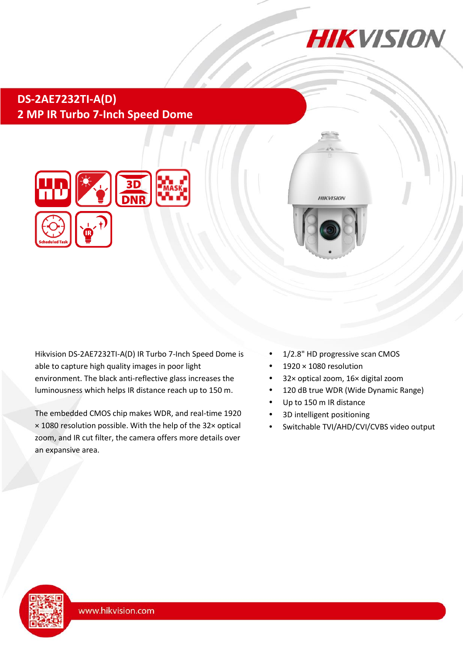

## **DS-2AE7232TI-A(D) 2 MP IR Turbo 7-Inch Speed Dome**





Hikvision DS-2AE7232TI-A(D) IR Turbo 7-Inch Speed Dome is able to capture high quality images in poor light environment. The black anti-reflective glass increases the luminousness which helps IR distance reach up to 150 m.

The embedded CMOS chip makes WDR, and real-time 1920 × 1080 resolution possible. With the help of the 32× optical zoom, and IR cut filter, the camera offers more details over an expansive area.

- 1/2.8" HD progressive scan CMOS
- 1920 × 1080 resolution
- 32× optical zoom, 16× digital zoom
- 120 dB true WDR (Wide Dynamic Range)
- Up to 150 m IR distance
- 3D intelligent positioning
- Switchable TVI/AHD/CVI/CVBS video output

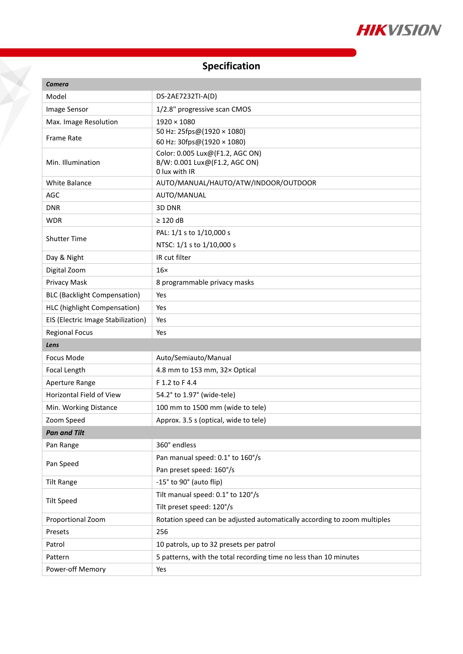

## **Specification**

T.

| <b>Camera</b>                       |                                                                          |  |
|-------------------------------------|--------------------------------------------------------------------------|--|
| Model                               | DS-2AE7232TI-A(D)                                                        |  |
| Image Sensor                        | 1/2.8" progressive scan CMOS                                             |  |
| Max. Image Resolution               | $1920 \times 1080$                                                       |  |
| Frame Rate                          | 50 Hz: 25fps@(1920 × 1080)                                               |  |
|                                     | 60 Hz: 30fps@(1920 × 1080)                                               |  |
| Min. Illumination                   | Color: 0.005 Lux@(F1.2, AGC ON)<br>B/W: 0.001 Lux@(F1.2, AGC ON)         |  |
|                                     | 0 lux with IR                                                            |  |
| White Balance                       | AUTO/MANUAL/HAUTO/ATW/INDOOR/OUTDOOR                                     |  |
| AGC                                 | AUTO/MANUAL                                                              |  |
| <b>DNR</b>                          | 3D DNR                                                                   |  |
| <b>WDR</b>                          | $\geq$ 120 dB                                                            |  |
| <b>Shutter Time</b>                 | PAL: 1/1 s to 1/10,000 s                                                 |  |
|                                     | NTSC: 1/1 s to 1/10,000 s                                                |  |
| Day & Night                         | IR cut filter                                                            |  |
| Digital Zoom                        | $16\times$                                                               |  |
| Privacy Mask                        | 8 programmable privacy masks                                             |  |
| <b>BLC (Backlight Compensation)</b> | Yes                                                                      |  |
| HLC (highlight Compensation)        | Yes                                                                      |  |
| EIS (Electric Image Stabilization)  | Yes                                                                      |  |
| <b>Regional Focus</b>               | Yes                                                                      |  |
| Lens                                |                                                                          |  |
| <b>Focus Mode</b>                   | Auto/Semiauto/Manual                                                     |  |
| Focal Length                        | 4.8 mm to 153 mm, 32x Optical                                            |  |
| Aperture Range                      | F 1.2 to F 4.4                                                           |  |
| Horizontal Field of View            | 54.2° to 1.97° (wide-tele)                                               |  |
| Min. Working Distance               | 100 mm to 1500 mm (wide to tele)                                         |  |
| Zoom Speed                          | Approx. 3.5 s (optical, wide to tele)                                    |  |
| <b>Pan and Tilt</b>                 |                                                                          |  |
| Pan Range                           | 360° endless                                                             |  |
| Pan Speed                           | Pan manual speed: 0.1° to 160°/s                                         |  |
|                                     | Pan preset speed: 160°/s                                                 |  |
| <b>Tilt Range</b>                   | -15° to 90° (auto flip)                                                  |  |
| <b>Tilt Speed</b>                   | Tilt manual speed: 0.1° to 120°/s                                        |  |
|                                     | Tilt preset speed: 120°/s                                                |  |
| Proportional Zoom                   | Rotation speed can be adjusted automatically according to zoom multiples |  |
| Presets                             | 256                                                                      |  |
| Patrol                              | 10 patrols, up to 32 presets per patrol                                  |  |
| Pattern                             | 5 patterns, with the total recording time no less than 10 minutes        |  |
| Power-off Memory                    | Yes                                                                      |  |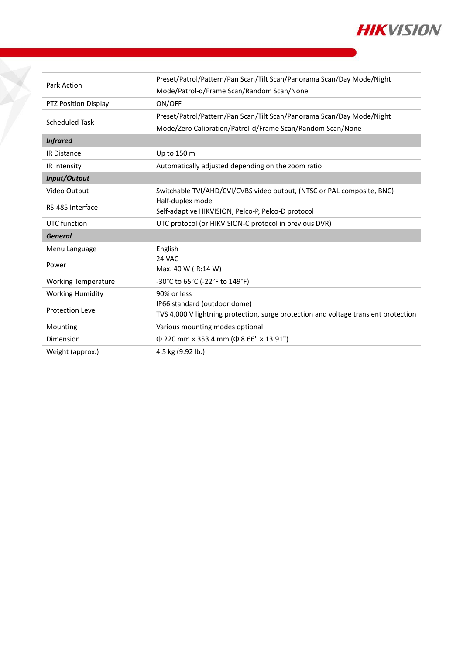

| Park Action                | Preset/Patrol/Pattern/Pan Scan/Tilt Scan/Panorama Scan/Day Mode/Night               |
|----------------------------|-------------------------------------------------------------------------------------|
|                            | Mode/Patrol-d/Frame Scan/Random Scan/None                                           |
| PTZ Position Display       | ON/OFF                                                                              |
| Scheduled Task             | Preset/Patrol/Pattern/Pan Scan/Tilt Scan/Panorama Scan/Day Mode/Night               |
|                            | Mode/Zero Calibration/Patrol-d/Frame Scan/Random Scan/None                          |
| <b>Infrared</b>            |                                                                                     |
| <b>IR Distance</b>         | Up to 150 m                                                                         |
| IR Intensity               | Automatically adjusted depending on the zoom ratio                                  |
| Input/Output               |                                                                                     |
| Video Output               | Switchable TVI/AHD/CVI/CVBS video output, (NTSC or PAL composite, BNC)              |
| RS-485 Interface           | Half-duplex mode                                                                    |
|                            | Self-adaptive HIKVISION, Pelco-P, Pelco-D protocol                                  |
| UTC function               | UTC protocol (or HIKVISION-C protocol in previous DVR)                              |
| <b>General</b>             |                                                                                     |
| Menu Language              | English                                                                             |
| Power                      | 24 VAC                                                                              |
|                            | Max. 40 W (IR:14 W)                                                                 |
| <b>Working Temperature</b> | -30°C to 65°C (-22°F to 149°F)                                                      |
| <b>Working Humidity</b>    | 90% or less                                                                         |
| <b>Protection Level</b>    | IP66 standard (outdoor dome)                                                        |
|                            | TVS 4,000 V lightning protection, surge protection and voltage transient protection |
| Mounting                   | Various mounting modes optional                                                     |
| Dimension                  | $\Phi$ 220 mm × 353.4 mm ( $\Phi$ 8.66" × 13.91")                                   |
| Weight (approx.)           | 4.5 kg (9.92 lb.)                                                                   |

Ž